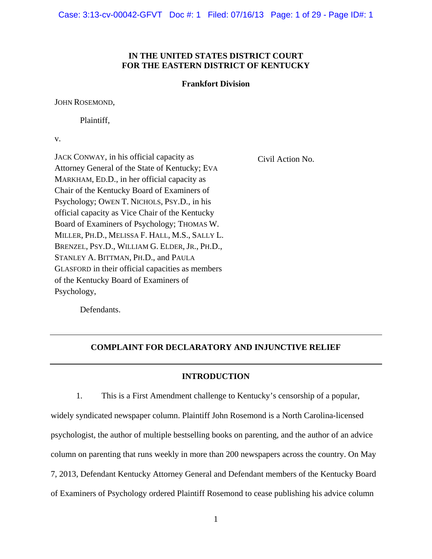Case: 3:13-cv-00042-GFVT Doc #: 1 Filed: 07/16/13 Page: 1 of 29 - Page ID#: 1

#### **IN THE UNITED STATES DISTRICT COURT FOR THE EASTERN DISTRICT OF KENTUCKY**

#### **Frankfort Division**

JOHN ROSEMOND,

Plaintiff,

v.

JACK CONWAY, in his official capacity as Attorney General of the State of Kentucky; EVA MARKHAM, ED.D., in her official capacity as Chair of the Kentucky Board of Examiners of Psychology; OWEN T. NICHOLS, PSY.D., in his official capacity as Vice Chair of the Kentucky Board of Examiners of Psychology; THOMAS W. MILLER, PH.D., MELISSA F. HALL, M.S., SALLY L. BRENZEL, PSY.D., WILLIAM G. ELDER, JR., PH.D., STANLEY A. BITTMAN, PH.D., and PAULA GLASFORD in their official capacities as members of the Kentucky Board of Examiners of Psychology,

Civil Action No.

Defendants.

#### **COMPLAINT FOR DECLARATORY AND INJUNCTIVE RELIEF**

#### **INTRODUCTION**

1. This is a First Amendment challenge to Kentucky's censorship of a popular, widely syndicated newspaper column. Plaintiff John Rosemond is a North Carolina-licensed psychologist, the author of multiple bestselling books on parenting, and the author of an advice column on parenting that runs weekly in more than 200 newspapers across the country. On May 7, 2013, Defendant Kentucky Attorney General and Defendant members of the Kentucky Board of Examiners of Psychology ordered Plaintiff Rosemond to cease publishing his advice column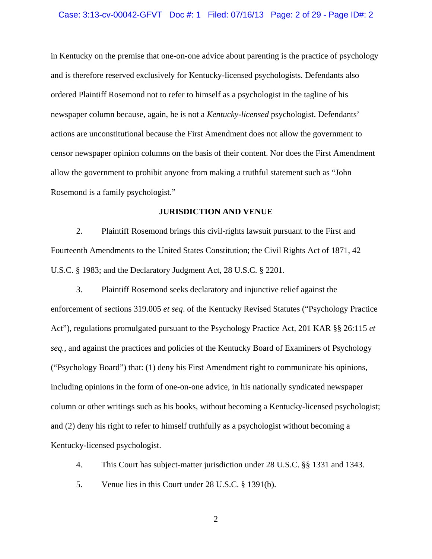#### Case: 3:13-cv-00042-GFVT Doc #: 1 Filed: 07/16/13 Page: 2 of 29 - Page ID#: 2

in Kentucky on the premise that one-on-one advice about parenting is the practice of psychology and is therefore reserved exclusively for Kentucky-licensed psychologists. Defendants also ordered Plaintiff Rosemond not to refer to himself as a psychologist in the tagline of his newspaper column because, again, he is not a *Kentucky-licensed* psychologist. Defendants' actions are unconstitutional because the First Amendment does not allow the government to censor newspaper opinion columns on the basis of their content. Nor does the First Amendment allow the government to prohibit anyone from making a truthful statement such as "John Rosemond is a family psychologist."

#### **JURISDICTION AND VENUE**

2. Plaintiff Rosemond brings this civil-rights lawsuit pursuant to the First and Fourteenth Amendments to the United States Constitution; the Civil Rights Act of 1871, 42 U.S.C. § 1983; and the Declaratory Judgment Act, 28 U.S.C. § 2201.

3. Plaintiff Rosemond seeks declaratory and injunctive relief against the enforcement of sections 319.005 *et seq*. of the Kentucky Revised Statutes ("Psychology Practice Act"), regulations promulgated pursuant to the Psychology Practice Act, 201 KAR §§ 26:115 *et seq.*, and against the practices and policies of the Kentucky Board of Examiners of Psychology ("Psychology Board") that: (1) deny his First Amendment right to communicate his opinions, including opinions in the form of one-on-one advice, in his nationally syndicated newspaper column or other writings such as his books, without becoming a Kentucky-licensed psychologist; and (2) deny his right to refer to himself truthfully as a psychologist without becoming a Kentucky-licensed psychologist.

4. This Court has subject-matter jurisdiction under 28 U.S.C. §§ 1331 and 1343.

5. Venue lies in this Court under 28 U.S.C. § 1391(b).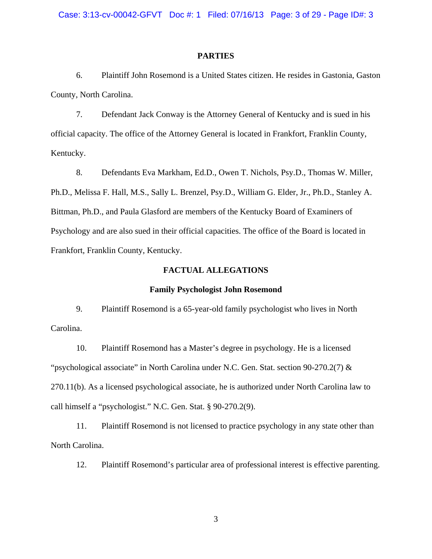#### **PARTIES**

6. Plaintiff John Rosemond is a United States citizen. He resides in Gastonia, Gaston County, North Carolina.

7. Defendant Jack Conway is the Attorney General of Kentucky and is sued in his official capacity. The office of the Attorney General is located in Frankfort, Franklin County, Kentucky.

8. Defendants Eva Markham, Ed.D., Owen T. Nichols, Psy.D., Thomas W. Miller, Ph.D., Melissa F. Hall, M.S., Sally L. Brenzel, Psy.D., William G. Elder, Jr., Ph.D., Stanley A. Bittman, Ph.D., and Paula Glasford are members of the Kentucky Board of Examiners of Psychology and are also sued in their official capacities. The office of the Board is located in Frankfort, Franklin County, Kentucky.

#### **FACTUAL ALLEGATIONS**

#### **Family Psychologist John Rosemond**

9. Plaintiff Rosemond is a 65-year-old family psychologist who lives in North Carolina.

10. Plaintiff Rosemond has a Master's degree in psychology. He is a licensed "psychological associate" in North Carolina under N.C. Gen. Stat. section 90-270.2(7) & 270.11(b). As a licensed psychological associate, he is authorized under North Carolina law to call himself a "psychologist." N.C. Gen. Stat. § 90-270.2(9).

11. Plaintiff Rosemond is not licensed to practice psychology in any state other than North Carolina.

12. Plaintiff Rosemond's particular area of professional interest is effective parenting.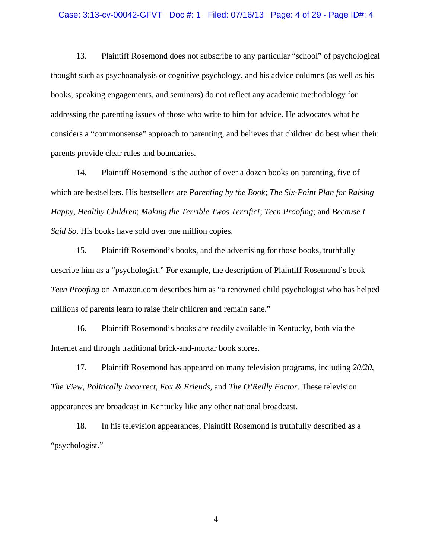#### Case: 3:13-cv-00042-GFVT Doc #: 1 Filed: 07/16/13 Page: 4 of 29 - Page ID#: 4

13. Plaintiff Rosemond does not subscribe to any particular "school" of psychological thought such as psychoanalysis or cognitive psychology, and his advice columns (as well as his books, speaking engagements, and seminars) do not reflect any academic methodology for addressing the parenting issues of those who write to him for advice. He advocates what he considers a "commonsense" approach to parenting, and believes that children do best when their parents provide clear rules and boundaries.

14. Plaintiff Rosemond is the author of over a dozen books on parenting, five of which are bestsellers. His bestsellers are *Parenting by the Book*; *The Six-Point Plan for Raising Happy, Healthy Children*; *Making the Terrible Twos Terrific!*; *Teen Proofing*; and *Because I Said So*. His books have sold over one million copies.

15. Plaintiff Rosemond's books, and the advertising for those books, truthfully describe him as a "psychologist." For example, the description of Plaintiff Rosemond's book *Teen Proofing* on Amazon.com describes him as "a renowned child psychologist who has helped millions of parents learn to raise their children and remain sane."

16. Plaintiff Rosemond's books are readily available in Kentucky, both via the Internet and through traditional brick-and-mortar book stores.

17. Plaintiff Rosemond has appeared on many television programs, including *20/20*, *The View*, *Politically Incorrect*, *Fox & Friends*, and *The O'Reilly Factor*. These television appearances are broadcast in Kentucky like any other national broadcast.

18. In his television appearances, Plaintiff Rosemond is truthfully described as a "psychologist."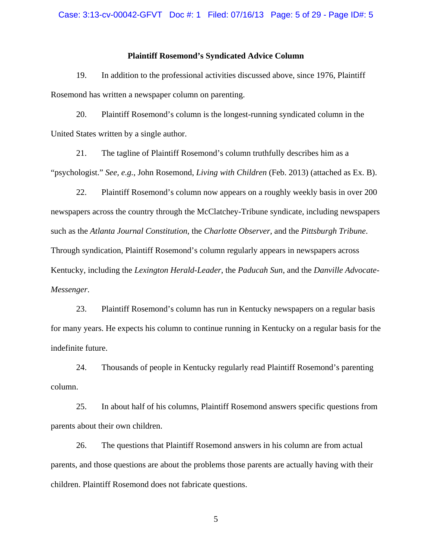#### Case: 3:13-cv-00042-GFVT Doc #: 1 Filed: 07/16/13 Page: 5 of 29 - Page ID#: 5

#### **Plaintiff Rosemond's Syndicated Advice Column**

19. In addition to the professional activities discussed above, since 1976, Plaintiff Rosemond has written a newspaper column on parenting.

20. Plaintiff Rosemond's column is the longest-running syndicated column in the United States written by a single author.

21. The tagline of Plaintiff Rosemond's column truthfully describes him as a "psychologist." *See, e.g.*, John Rosemond, *Living with Children* (Feb. 2013) (attached as Ex. B).

22. Plaintiff Rosemond's column now appears on a roughly weekly basis in over 200 newspapers across the country through the McClatchey-Tribune syndicate, including newspapers such as the *Atlanta Journal Constitution*, the *Charlotte Observer*, and the *Pittsburgh Tribune*. Through syndication, Plaintiff Rosemond's column regularly appears in newspapers across Kentucky, including the *Lexington Herald-Leader*, the *Paducah Sun*, and the *Danville Advocate-Messenger*.

23. Plaintiff Rosemond's column has run in Kentucky newspapers on a regular basis for many years. He expects his column to continue running in Kentucky on a regular basis for the indefinite future.

24. Thousands of people in Kentucky regularly read Plaintiff Rosemond's parenting column.

25. In about half of his columns, Plaintiff Rosemond answers specific questions from parents about their own children.

26. The questions that Plaintiff Rosemond answers in his column are from actual parents, and those questions are about the problems those parents are actually having with their children. Plaintiff Rosemond does not fabricate questions.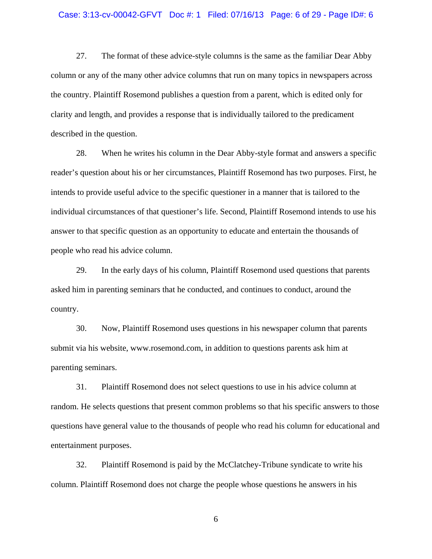#### Case: 3:13-cv-00042-GFVT Doc #: 1 Filed: 07/16/13 Page: 6 of 29 - Page ID#: 6

27. The format of these advice-style columns is the same as the familiar Dear Abby column or any of the many other advice columns that run on many topics in newspapers across the country. Plaintiff Rosemond publishes a question from a parent, which is edited only for clarity and length, and provides a response that is individually tailored to the predicament described in the question.

28. When he writes his column in the Dear Abby-style format and answers a specific reader's question about his or her circumstances, Plaintiff Rosemond has two purposes. First, he intends to provide useful advice to the specific questioner in a manner that is tailored to the individual circumstances of that questioner's life. Second, Plaintiff Rosemond intends to use his answer to that specific question as an opportunity to educate and entertain the thousands of people who read his advice column.

29. In the early days of his column, Plaintiff Rosemond used questions that parents asked him in parenting seminars that he conducted, and continues to conduct, around the country.

30. Now, Plaintiff Rosemond uses questions in his newspaper column that parents submit via his website, www.rosemond.com, in addition to questions parents ask him at parenting seminars.

31. Plaintiff Rosemond does not select questions to use in his advice column at random. He selects questions that present common problems so that his specific answers to those questions have general value to the thousands of people who read his column for educational and entertainment purposes.

32. Plaintiff Rosemond is paid by the McClatchey-Tribune syndicate to write his column. Plaintiff Rosemond does not charge the people whose questions he answers in his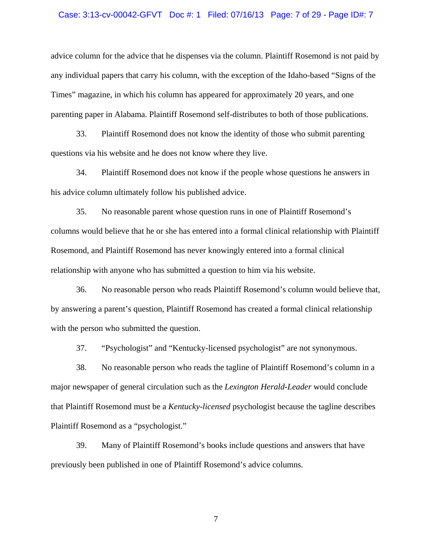#### Case: 3:13-cv-00042-GFVT Doc #: 1 Filed: 07/16/13 Page: 7 of 29 - Page ID#: 7

advice column for the advice that he dispenses via the column. Plaintiff Rosemond is not paid by any individual papers that carry his column, with the exception of the Idaho-based "Signs of the Times" magazine, in which his column has appeared for approximately 20 years, and one parenting paper in Alabama. Plaintiff Rosemond self-distributes to both of those publications.

33. Plaintiff Rosemond does not know the identity of those who submit parenting questions via his website and he does not know where they live.

34. Plaintiff Rosemond does not know if the people whose questions he answers in his advice column ultimately follow his published advice.

35. No reasonable parent whose question runs in one of Plaintiff Rosemond's columns would believe that he or she has entered into a formal clinical relationship with Plaintiff Rosemond, and Plaintiff Rosemond has never knowingly entered into a formal clinical relationship with anyone who has submitted a question to him via his website.

36. No reasonable person who reads Plaintiff Rosemond's column would believe that, by answering a parent's question, Plaintiff Rosemond has created a formal clinical relationship with the person who submitted the question.

37. "Psychologist" and "Kentucky-licensed psychologist" are not synonymous.

38. No reasonable person who reads the tagline of Plaintiff Rosemond's column in a major newspaper of general circulation such as the *Lexington Herald-Leader* would conclude that Plaintiff Rosemond must be a *Kentucky-licensed* psychologist because the tagline describes Plaintiff Rosemond as a "psychologist."

39. Many of Plaintiff Rosemond's books include questions and answers that have previously been published in one of Plaintiff Rosemond's advice columns.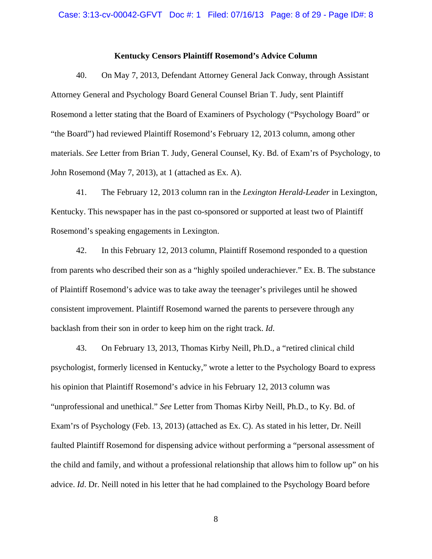#### **Kentucky Censors Plaintiff Rosemond's Advice Column**

40. On May 7, 2013, Defendant Attorney General Jack Conway, through Assistant Attorney General and Psychology Board General Counsel Brian T. Judy, sent Plaintiff Rosemond a letter stating that the Board of Examiners of Psychology ("Psychology Board" or "the Board") had reviewed Plaintiff Rosemond's February 12, 2013 column, among other materials. *See* Letter from Brian T. Judy, General Counsel, Ky. Bd. of Exam'rs of Psychology, to John Rosemond (May 7, 2013), at 1 (attached as Ex. A).

41. The February 12, 2013 column ran in the *Lexington Herald-Leader* in Lexington, Kentucky. This newspaper has in the past co-sponsored or supported at least two of Plaintiff Rosemond's speaking engagements in Lexington.

42. In this February 12, 2013 column, Plaintiff Rosemond responded to a question from parents who described their son as a "highly spoiled underachiever." Ex. B. The substance of Plaintiff Rosemond's advice was to take away the teenager's privileges until he showed consistent improvement. Plaintiff Rosemond warned the parents to persevere through any backlash from their son in order to keep him on the right track. *Id*.

43. On February 13, 2013, Thomas Kirby Neill, Ph.D., a "retired clinical child psychologist, formerly licensed in Kentucky," wrote a letter to the Psychology Board to express his opinion that Plaintiff Rosemond's advice in his February 12, 2013 column was "unprofessional and unethical." *See* Letter from Thomas Kirby Neill, Ph.D., to Ky. Bd. of Exam'rs of Psychology (Feb. 13, 2013) (attached as Ex. C). As stated in his letter, Dr. Neill faulted Plaintiff Rosemond for dispensing advice without performing a "personal assessment of the child and family, and without a professional relationship that allows him to follow up" on his advice. *Id*. Dr. Neill noted in his letter that he had complained to the Psychology Board before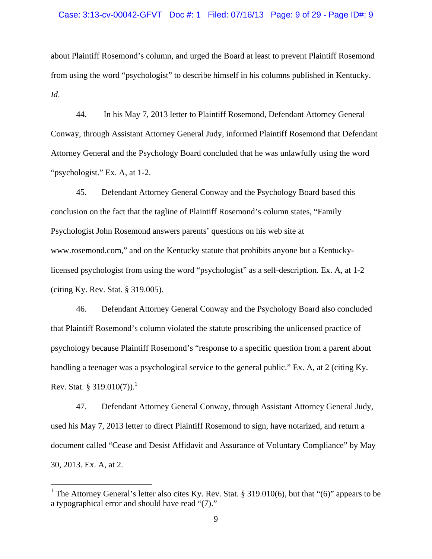#### Case: 3:13-cv-00042-GFVT Doc #: 1 Filed: 07/16/13 Page: 9 of 29 - Page ID#: 9

about Plaintiff Rosemond's column, and urged the Board at least to prevent Plaintiff Rosemond from using the word "psychologist" to describe himself in his columns published in Kentucky. *Id*.

44. In his May 7, 2013 letter to Plaintiff Rosemond, Defendant Attorney General Conway, through Assistant Attorney General Judy, informed Plaintiff Rosemond that Defendant Attorney General and the Psychology Board concluded that he was unlawfully using the word "psychologist." Ex. A, at 1-2.

45. Defendant Attorney General Conway and the Psychology Board based this conclusion on the fact that the tagline of Plaintiff Rosemond's column states, "Family Psychologist John Rosemond answers parents' questions on his web site at www.rosemond.com," and on the Kentucky statute that prohibits anyone but a Kentuckylicensed psychologist from using the word "psychologist" as a self-description. Ex. A, at 1-2 (citing Ky. Rev. Stat. § 319.005).

46. Defendant Attorney General Conway and the Psychology Board also concluded that Plaintiff Rosemond's column violated the statute proscribing the unlicensed practice of psychology because Plaintiff Rosemond's "response to a specific question from a parent about handling a teenager was a psychological service to the general public." Ex. A, at 2 (citing Ky. Rev. Stat. § 319.010(7)).<sup>1</sup>

47. Defendant Attorney General Conway, through Assistant Attorney General Judy, used his May 7, 2013 letter to direct Plaintiff Rosemond to sign, have notarized, and return a document called "Cease and Desist Affidavit and Assurance of Voluntary Compliance" by May 30, 2013. Ex. A, at 2.

<sup>&</sup>lt;sup>1</sup> The Attorney General's letter also cites Ky. Rev. Stat. § 319.010(6), but that "(6)" appears to be a typographical error and should have read "(7)."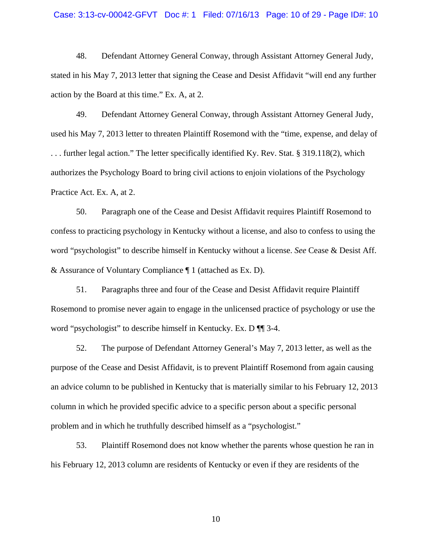#### Case: 3:13-cv-00042-GFVT Doc #: 1 Filed: 07/16/13 Page: 10 of 29 - Page ID#: 10

48. Defendant Attorney General Conway, through Assistant Attorney General Judy, stated in his May 7, 2013 letter that signing the Cease and Desist Affidavit "will end any further action by the Board at this time." Ex. A, at 2.

49. Defendant Attorney General Conway, through Assistant Attorney General Judy, used his May 7, 2013 letter to threaten Plaintiff Rosemond with the "time, expense, and delay of . . . further legal action." The letter specifically identified Ky. Rev. Stat. § 319.118(2), which authorizes the Psychology Board to bring civil actions to enjoin violations of the Psychology Practice Act. Ex. A, at 2.

50. Paragraph one of the Cease and Desist Affidavit requires Plaintiff Rosemond to confess to practicing psychology in Kentucky without a license, and also to confess to using the word "psychologist" to describe himself in Kentucky without a license. *See* Cease & Desist Aff. & Assurance of Voluntary Compliance ¶ 1 (attached as Ex. D).

51. Paragraphs three and four of the Cease and Desist Affidavit require Plaintiff Rosemond to promise never again to engage in the unlicensed practice of psychology or use the word "psychologist" to describe himself in Kentucky. Ex. D  $\P$  1 3-4.

52. The purpose of Defendant Attorney General's May 7, 2013 letter, as well as the purpose of the Cease and Desist Affidavit, is to prevent Plaintiff Rosemond from again causing an advice column to be published in Kentucky that is materially similar to his February 12, 2013 column in which he provided specific advice to a specific person about a specific personal problem and in which he truthfully described himself as a "psychologist."

53. Plaintiff Rosemond does not know whether the parents whose question he ran in his February 12, 2013 column are residents of Kentucky or even if they are residents of the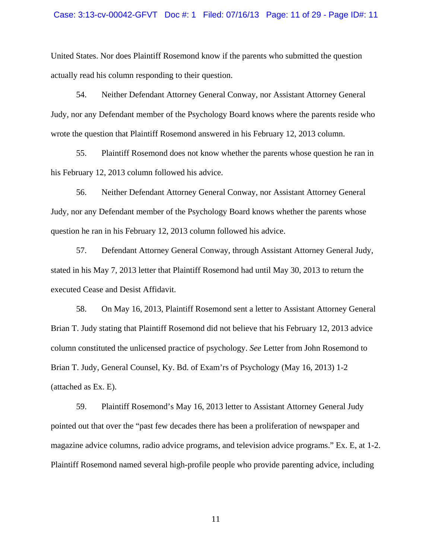#### Case: 3:13-cv-00042-GFVT Doc #: 1 Filed: 07/16/13 Page: 11 of 29 - Page ID#: 11

United States. Nor does Plaintiff Rosemond know if the parents who submitted the question actually read his column responding to their question.

54. Neither Defendant Attorney General Conway, nor Assistant Attorney General Judy, nor any Defendant member of the Psychology Board knows where the parents reside who wrote the question that Plaintiff Rosemond answered in his February 12, 2013 column.

55. Plaintiff Rosemond does not know whether the parents whose question he ran in his February 12, 2013 column followed his advice.

56. Neither Defendant Attorney General Conway, nor Assistant Attorney General Judy, nor any Defendant member of the Psychology Board knows whether the parents whose question he ran in his February 12, 2013 column followed his advice.

57. Defendant Attorney General Conway, through Assistant Attorney General Judy, stated in his May 7, 2013 letter that Plaintiff Rosemond had until May 30, 2013 to return the executed Cease and Desist Affidavit.

58. On May 16, 2013, Plaintiff Rosemond sent a letter to Assistant Attorney General Brian T. Judy stating that Plaintiff Rosemond did not believe that his February 12, 2013 advice column constituted the unlicensed practice of psychology. *See* Letter from John Rosemond to Brian T. Judy, General Counsel, Ky. Bd. of Exam'rs of Psychology (May 16, 2013) 1-2 (attached as Ex. E).

59. Plaintiff Rosemond's May 16, 2013 letter to Assistant Attorney General Judy pointed out that over the "past few decades there has been a proliferation of newspaper and magazine advice columns, radio advice programs, and television advice programs." Ex. E, at 1-2. Plaintiff Rosemond named several high-profile people who provide parenting advice, including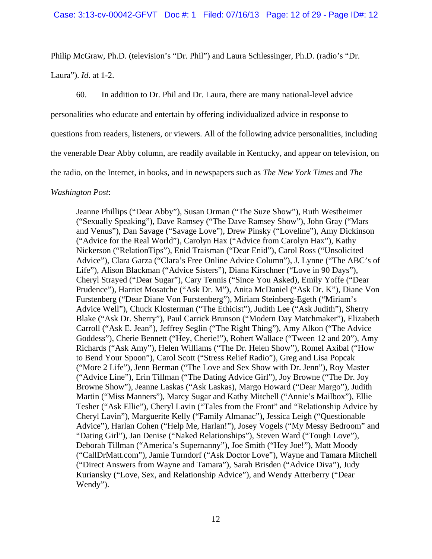Philip McGraw, Ph.D. (television's "Dr. Phil") and Laura Schlessinger, Ph.D. (radio's "Dr.

Laura"). *Id*. at 1-2.

60. In addition to Dr. Phil and Dr. Laura, there are many national-level advice

personalities who educate and entertain by offering individualized advice in response to

questions from readers, listeners, or viewers. All of the following advice personalities, including

the venerable Dear Abby column, are readily available in Kentucky, and appear on television, on

the radio, on the Internet, in books, and in newspapers such as *The New York Times* and *The* 

#### *Washington Post*:

Jeanne Phillips ("Dear Abby"), Susan Orman ("The Suze Show"), Ruth Westheimer ("Sexually Speaking"), Dave Ramsey ("The Dave Ramsey Show"), John Gray ("Mars and Venus"), Dan Savage ("Savage Love"), Drew Pinsky ("Loveline"), Amy Dickinson ("Advice for the Real World"), Carolyn Hax ("Advice from Carolyn Hax"), Kathy Nickerson ("RelationTips"), Enid Traisman ("Dear Enid"), Carol Ross ("Unsolicited Advice"), Clara Garza ("Clara's Free Online Advice Column"), J. Lynne ("The ABC's of Life"), Alison Blackman ("Advice Sisters"), Diana Kirschner ("Love in 90 Days"), Cheryl Strayed ("Dear Sugar"), Cary Tennis ("Since You Asked), Emily Yoffe ("Dear Prudence"), Harriet Mosatche ("Ask Dr. M"), Anita McDaniel ("Ask Dr. K"), Diane Von Furstenberg ("Dear Diane Von Furstenberg"), Miriam Steinberg-Egeth ("Miriam's Advice Well"), Chuck Klosterman ("The Ethicist"), Judith Lee ("Ask Judith"), Sherry Blake ("Ask Dr. Sherry"), Paul Carrick Brunson ("Modern Day Matchmaker"), Elizabeth Carroll ("Ask E. Jean"), Jeffrey Seglin ("The Right Thing"), Amy Alkon ("The Advice Goddess"), Cherie Bennett ("Hey, Cherie!"), Robert Wallace ("Tween 12 and 20"), Amy Richards ("Ask Amy"), Helen Williams ("The Dr. Helen Show"), Romel Axibal ("How to Bend Your Spoon"), Carol Scott ("Stress Relief Radio"), Greg and Lisa Popcak ("More 2 Life"), Jenn Berman ("The Love and Sex Show with Dr. Jenn"), Roy Master ("Advice Line"), Erin Tillman ("The Dating Advice Girl"), Joy Browne ("The Dr. Joy Browne Show"), Jeanne Laskas ("Ask Laskas), Margo Howard ("Dear Margo"), Judith Martin ("Miss Manners"), Marcy Sugar and Kathy Mitchell ("Annie's Mailbox"), Ellie Tesher ("Ask Ellie"), Cheryl Lavin ("Tales from the Front" and "Relationship Advice by Cheryl Lavin"), Marguerite Kelly ("Family Almanac"), Jessica Leigh ("Questionable Advice"), Harlan Cohen ("Help Me, Harlan!"), Josey Vogels ("My Messy Bedroom" and "Dating Girl"), Jan Denise ("Naked Relationships"), Steven Ward ("Tough Love"), Deborah Tillman ("America's Supernanny"), Joe Smith ("Hey Joe!"), Matt Moody ("CallDrMatt.com"), Jamie Turndorf ("Ask Doctor Love"), Wayne and Tamara Mitchell ("Direct Answers from Wayne and Tamara"), Sarah Brisden ("Advice Diva"), Judy Kuriansky ("Love, Sex, and Relationship Advice"), and Wendy Atterberry ("Dear Wendy").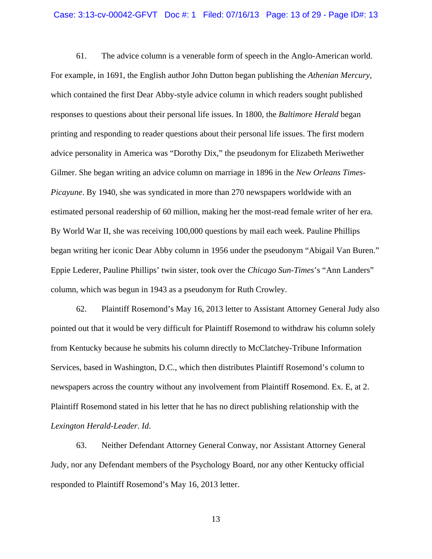#### Case: 3:13-cv-00042-GFVT Doc #: 1 Filed: 07/16/13 Page: 13 of 29 - Page ID#: 13

61. The advice column is a venerable form of speech in the Anglo-American world. For example, in 1691, the English author John Dutton began publishing the *Athenian Mercury*, which contained the first Dear Abby-style advice column in which readers sought published responses to questions about their personal life issues. In 1800, the *Baltimore Herald* began printing and responding to reader questions about their personal life issues. The first modern advice personality in America was "Dorothy Dix," the pseudonym for Elizabeth Meriwether Gilmer. She began writing an advice column on marriage in 1896 in the *New Orleans Times-Picayune*. By 1940, she was syndicated in more than 270 newspapers worldwide with an estimated personal readership of 60 million, making her the most-read female writer of her era. By World War II, she was receiving 100,000 questions by mail each week. Pauline Phillips began writing her iconic Dear Abby column in 1956 under the pseudonym "Abigail Van Buren." Eppie Lederer, Pauline Phillips' twin sister, took over the *Chicago Sun-Times*'s "Ann Landers" column, which was begun in 1943 as a pseudonym for Ruth Crowley.

62. Plaintiff Rosemond's May 16, 2013 letter to Assistant Attorney General Judy also pointed out that it would be very difficult for Plaintiff Rosemond to withdraw his column solely from Kentucky because he submits his column directly to McClatchey-Tribune Information Services, based in Washington, D.C., which then distributes Plaintiff Rosemond's column to newspapers across the country without any involvement from Plaintiff Rosemond. Ex. E, at 2. Plaintiff Rosemond stated in his letter that he has no direct publishing relationship with the *Lexington Herald-Leader*. *Id*.

63. Neither Defendant Attorney General Conway, nor Assistant Attorney General Judy, nor any Defendant members of the Psychology Board, nor any other Kentucky official responded to Plaintiff Rosemond's May 16, 2013 letter.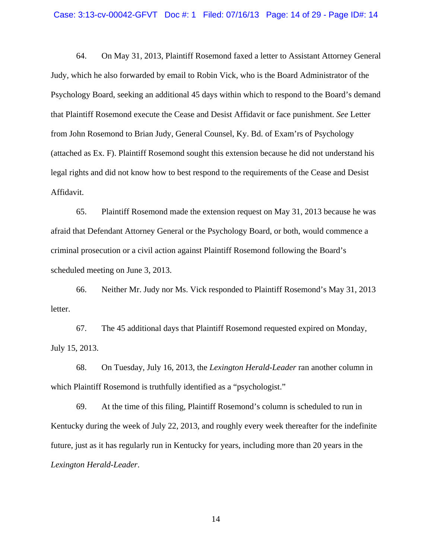64. On May 31, 2013, Plaintiff Rosemond faxed a letter to Assistant Attorney General Judy, which he also forwarded by email to Robin Vick, who is the Board Administrator of the Psychology Board, seeking an additional 45 days within which to respond to the Board's demand that Plaintiff Rosemond execute the Cease and Desist Affidavit or face punishment. *See* Letter from John Rosemond to Brian Judy, General Counsel, Ky. Bd. of Exam'rs of Psychology (attached as Ex. F). Plaintiff Rosemond sought this extension because he did not understand his legal rights and did not know how to best respond to the requirements of the Cease and Desist Affidavit.

65. Plaintiff Rosemond made the extension request on May 31, 2013 because he was afraid that Defendant Attorney General or the Psychology Board, or both, would commence a criminal prosecution or a civil action against Plaintiff Rosemond following the Board's scheduled meeting on June 3, 2013.

66. Neither Mr. Judy nor Ms. Vick responded to Plaintiff Rosemond's May 31, 2013 letter.

67. The 45 additional days that Plaintiff Rosemond requested expired on Monday, July 15, 2013.

68. On Tuesday, July 16, 2013, the *Lexington Herald-Leader* ran another column in which Plaintiff Rosemond is truthfully identified as a "psychologist."

69. At the time of this filing, Plaintiff Rosemond's column is scheduled to run in Kentucky during the week of July 22, 2013, and roughly every week thereafter for the indefinite future, just as it has regularly run in Kentucky for years, including more than 20 years in the *Lexington Herald-Leader*.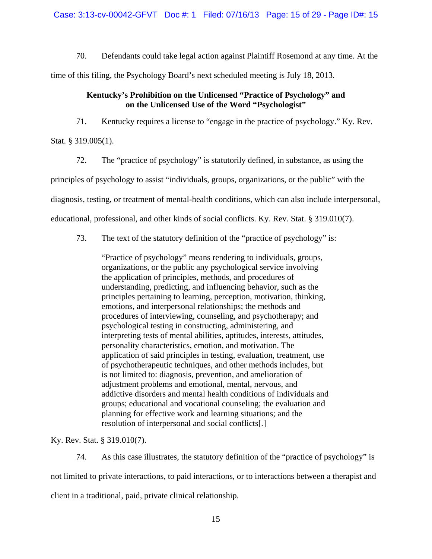Case: 3:13-cv-00042-GFVT Doc #: 1 Filed: 07/16/13 Page: 15 of 29 - Page ID#: 15

70. Defendants could take legal action against Plaintiff Rosemond at any time. At the

time of this filing, the Psychology Board's next scheduled meeting is July 18, 2013.

#### **Kentucky's Prohibition on the Unlicensed "Practice of Psychology" and on the Unlicensed Use of the Word "Psychologist"**

71. Kentucky requires a license to "engage in the practice of psychology." Ky. Rev.

Stat. § 319.005(1).

72. The "practice of psychology" is statutorily defined, in substance, as using the

principles of psychology to assist "individuals, groups, organizations, or the public" with the

diagnosis, testing, or treatment of mental-health conditions, which can also include interpersonal,

educational, professional, and other kinds of social conflicts. Ky. Rev. Stat. § 319.010(7).

73. The text of the statutory definition of the "practice of psychology" is:

"Practice of psychology" means rendering to individuals, groups, organizations, or the public any psychological service involving the application of principles, methods, and procedures of understanding, predicting, and influencing behavior, such as the principles pertaining to learning, perception, motivation, thinking, emotions, and interpersonal relationships; the methods and procedures of interviewing, counseling, and psychotherapy; and psychological testing in constructing, administering, and interpreting tests of mental abilities, aptitudes, interests, attitudes, personality characteristics, emotion, and motivation. The application of said principles in testing, evaluation, treatment, use of psychotherapeutic techniques, and other methods includes, but is not limited to: diagnosis, prevention, and amelioration of adjustment problems and emotional, mental, nervous, and addictive disorders and mental health conditions of individuals and groups; educational and vocational counseling; the evaluation and planning for effective work and learning situations; and the resolution of interpersonal and social conflicts[.]

Ky. Rev. Stat. § 319.010(7).

74. As this case illustrates, the statutory definition of the "practice of psychology" is not limited to private interactions, to paid interactions, or to interactions between a therapist and client in a traditional, paid, private clinical relationship.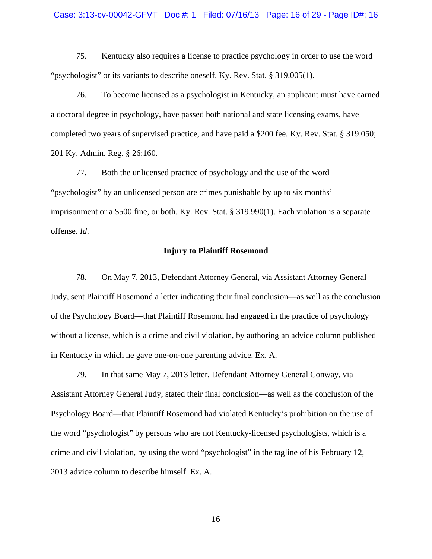#### Case: 3:13-cv-00042-GFVT Doc #: 1 Filed: 07/16/13 Page: 16 of 29 - Page ID#: 16

75. Kentucky also requires a license to practice psychology in order to use the word "psychologist" or its variants to describe oneself. Ky. Rev. Stat. § 319.005(1).

76. To become licensed as a psychologist in Kentucky, an applicant must have earned a doctoral degree in psychology, have passed both national and state licensing exams, have completed two years of supervised practice, and have paid a \$200 fee. Ky. Rev. Stat. § 319.050; 201 Ky. Admin. Reg. § 26:160.

77. Both the unlicensed practice of psychology and the use of the word "psychologist" by an unlicensed person are crimes punishable by up to six months' imprisonment or a \$500 fine, or both. Ky. Rev. Stat. § 319.990(1). Each violation is a separate offense. *Id*.

#### **Injury to Plaintiff Rosemond**

78. On May 7, 2013, Defendant Attorney General, via Assistant Attorney General Judy, sent Plaintiff Rosemond a letter indicating their final conclusion—as well as the conclusion of the Psychology Board—that Plaintiff Rosemond had engaged in the practice of psychology without a license, which is a crime and civil violation, by authoring an advice column published in Kentucky in which he gave one-on-one parenting advice. Ex. A.

79. In that same May 7, 2013 letter, Defendant Attorney General Conway, via Assistant Attorney General Judy, stated their final conclusion—as well as the conclusion of the Psychology Board—that Plaintiff Rosemond had violated Kentucky's prohibition on the use of the word "psychologist" by persons who are not Kentucky-licensed psychologists, which is a crime and civil violation, by using the word "psychologist" in the tagline of his February 12, 2013 advice column to describe himself. Ex. A.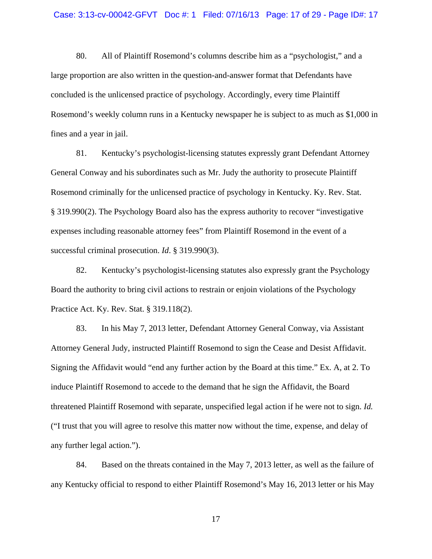80. All of Plaintiff Rosemond's columns describe him as a "psychologist," and a large proportion are also written in the question-and-answer format that Defendants have concluded is the unlicensed practice of psychology. Accordingly, every time Plaintiff Rosemond's weekly column runs in a Kentucky newspaper he is subject to as much as \$1,000 in fines and a year in jail.

81. Kentucky's psychologist-licensing statutes expressly grant Defendant Attorney General Conway and his subordinates such as Mr. Judy the authority to prosecute Plaintiff Rosemond criminally for the unlicensed practice of psychology in Kentucky. Ky. Rev. Stat. § 319.990(2). The Psychology Board also has the express authority to recover "investigative expenses including reasonable attorney fees" from Plaintiff Rosemond in the event of a successful criminal prosecution. *Id*. § 319.990(3).

82. Kentucky's psychologist-licensing statutes also expressly grant the Psychology Board the authority to bring civil actions to restrain or enjoin violations of the Psychology Practice Act. Ky. Rev. Stat. § 319.118(2).

83. In his May 7, 2013 letter, Defendant Attorney General Conway, via Assistant Attorney General Judy, instructed Plaintiff Rosemond to sign the Cease and Desist Affidavit. Signing the Affidavit would "end any further action by the Board at this time." Ex. A, at 2. To induce Plaintiff Rosemond to accede to the demand that he sign the Affidavit, the Board threatened Plaintiff Rosemond with separate, unspecified legal action if he were not to sign. *Id.*  ("I trust that you will agree to resolve this matter now without the time, expense, and delay of any further legal action.").

84. Based on the threats contained in the May 7, 2013 letter, as well as the failure of any Kentucky official to respond to either Plaintiff Rosemond's May 16, 2013 letter or his May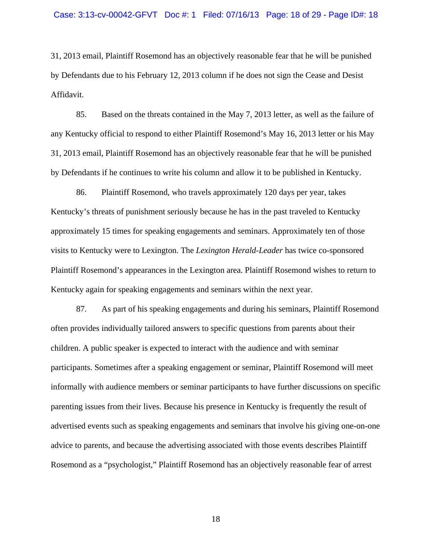31, 2013 email, Plaintiff Rosemond has an objectively reasonable fear that he will be punished by Defendants due to his February 12, 2013 column if he does not sign the Cease and Desist Affidavit.

85. Based on the threats contained in the May 7, 2013 letter, as well as the failure of any Kentucky official to respond to either Plaintiff Rosemond's May 16, 2013 letter or his May 31, 2013 email, Plaintiff Rosemond has an objectively reasonable fear that he will be punished by Defendants if he continues to write his column and allow it to be published in Kentucky.

86. Plaintiff Rosemond, who travels approximately 120 days per year, takes Kentucky's threats of punishment seriously because he has in the past traveled to Kentucky approximately 15 times for speaking engagements and seminars. Approximately ten of those visits to Kentucky were to Lexington. The *Lexington Herald-Leader* has twice co-sponsored Plaintiff Rosemond's appearances in the Lexington area. Plaintiff Rosemond wishes to return to Kentucky again for speaking engagements and seminars within the next year.

87. As part of his speaking engagements and during his seminars, Plaintiff Rosemond often provides individually tailored answers to specific questions from parents about their children. A public speaker is expected to interact with the audience and with seminar participants. Sometimes after a speaking engagement or seminar, Plaintiff Rosemond will meet informally with audience members or seminar participants to have further discussions on specific parenting issues from their lives. Because his presence in Kentucky is frequently the result of advertised events such as speaking engagements and seminars that involve his giving one-on-one advice to parents, and because the advertising associated with those events describes Plaintiff Rosemond as a "psychologist," Plaintiff Rosemond has an objectively reasonable fear of arrest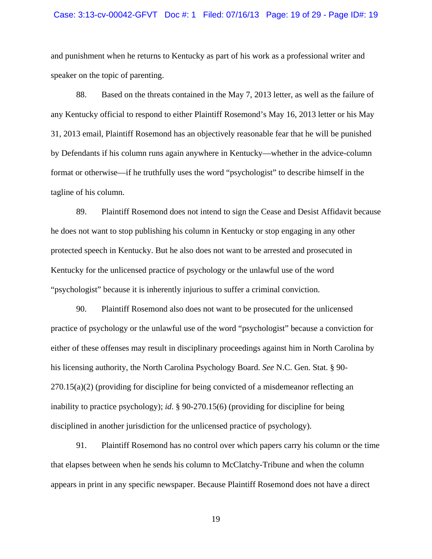#### Case: 3:13-cv-00042-GFVT Doc #: 1 Filed: 07/16/13 Page: 19 of 29 - Page ID#: 19

and punishment when he returns to Kentucky as part of his work as a professional writer and speaker on the topic of parenting.

88. Based on the threats contained in the May 7, 2013 letter, as well as the failure of any Kentucky official to respond to either Plaintiff Rosemond's May 16, 2013 letter or his May 31, 2013 email, Plaintiff Rosemond has an objectively reasonable fear that he will be punished by Defendants if his column runs again anywhere in Kentucky—whether in the advice-column format or otherwise—if he truthfully uses the word "psychologist" to describe himself in the tagline of his column.

89. Plaintiff Rosemond does not intend to sign the Cease and Desist Affidavit because he does not want to stop publishing his column in Kentucky or stop engaging in any other protected speech in Kentucky. But he also does not want to be arrested and prosecuted in Kentucky for the unlicensed practice of psychology or the unlawful use of the word "psychologist" because it is inherently injurious to suffer a criminal conviction.

90. Plaintiff Rosemond also does not want to be prosecuted for the unlicensed practice of psychology or the unlawful use of the word "psychologist" because a conviction for either of these offenses may result in disciplinary proceedings against him in North Carolina by his licensing authority, the North Carolina Psychology Board. *See* N.C. Gen. Stat. § 90- 270.15(a)(2) (providing for discipline for being convicted of a misdemeanor reflecting an inability to practice psychology); *id*. § 90-270.15(6) (providing for discipline for being disciplined in another jurisdiction for the unlicensed practice of psychology).

91. Plaintiff Rosemond has no control over which papers carry his column or the time that elapses between when he sends his column to McClatchy-Tribune and when the column appears in print in any specific newspaper. Because Plaintiff Rosemond does not have a direct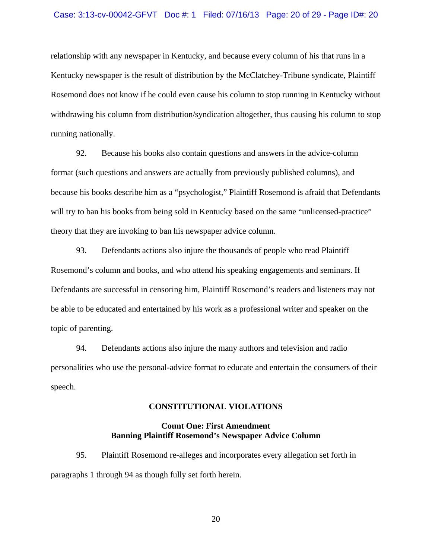#### Case: 3:13-cv-00042-GFVT Doc #: 1 Filed: 07/16/13 Page: 20 of 29 - Page ID#: 20

relationship with any newspaper in Kentucky, and because every column of his that runs in a Kentucky newspaper is the result of distribution by the McClatchey-Tribune syndicate, Plaintiff Rosemond does not know if he could even cause his column to stop running in Kentucky without withdrawing his column from distribution/syndication altogether, thus causing his column to stop running nationally.

92. Because his books also contain questions and answers in the advice-column format (such questions and answers are actually from previously published columns), and because his books describe him as a "psychologist," Plaintiff Rosemond is afraid that Defendants will try to ban his books from being sold in Kentucky based on the same "unlicensed-practice" theory that they are invoking to ban his newspaper advice column.

93. Defendants actions also injure the thousands of people who read Plaintiff Rosemond's column and books, and who attend his speaking engagements and seminars. If Defendants are successful in censoring him, Plaintiff Rosemond's readers and listeners may not be able to be educated and entertained by his work as a professional writer and speaker on the topic of parenting.

94. Defendants actions also injure the many authors and television and radio personalities who use the personal-advice format to educate and entertain the consumers of their speech.

#### **CONSTITUTIONAL VIOLATIONS**

#### **Count One: First Amendment Banning Plaintiff Rosemond's Newspaper Advice Column**

95. Plaintiff Rosemond re-alleges and incorporates every allegation set forth in paragraphs 1 through 94 as though fully set forth herein.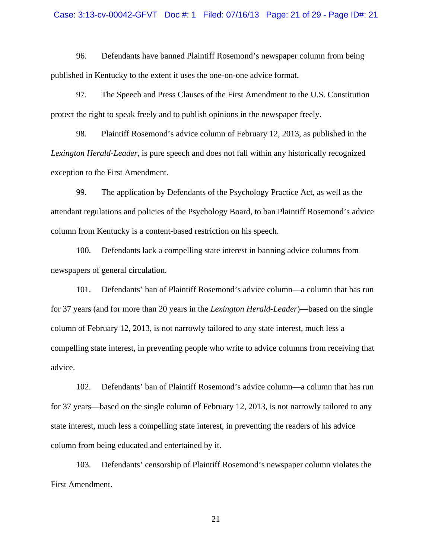#### Case: 3:13-cv-00042-GFVT Doc #: 1 Filed: 07/16/13 Page: 21 of 29 - Page ID#: 21

96. Defendants have banned Plaintiff Rosemond's newspaper column from being published in Kentucky to the extent it uses the one-on-one advice format.

97. The Speech and Press Clauses of the First Amendment to the U.S. Constitution protect the right to speak freely and to publish opinions in the newspaper freely.

98. Plaintiff Rosemond's advice column of February 12, 2013, as published in the *Lexington Herald-Leader*, is pure speech and does not fall within any historically recognized exception to the First Amendment.

99. The application by Defendants of the Psychology Practice Act, as well as the attendant regulations and policies of the Psychology Board, to ban Plaintiff Rosemond's advice column from Kentucky is a content-based restriction on his speech.

100. Defendants lack a compelling state interest in banning advice columns from newspapers of general circulation.

101. Defendants' ban of Plaintiff Rosemond's advice column—a column that has run for 37 years (and for more than 20 years in the *Lexington Herald-Leader*)—based on the single column of February 12, 2013, is not narrowly tailored to any state interest, much less a compelling state interest, in preventing people who write to advice columns from receiving that advice.

102. Defendants' ban of Plaintiff Rosemond's advice column—a column that has run for 37 years—based on the single column of February 12, 2013, is not narrowly tailored to any state interest, much less a compelling state interest, in preventing the readers of his advice column from being educated and entertained by it.

103. Defendants' censorship of Plaintiff Rosemond's newspaper column violates the First Amendment.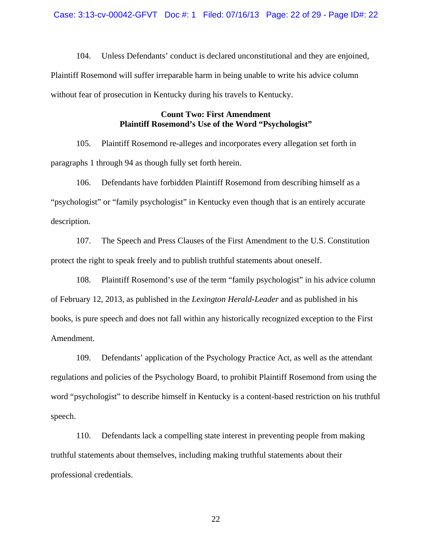#### Case: 3:13-cv-00042-GFVT Doc #: 1 Filed: 07/16/13 Page: 22 of 29 - Page ID#: 22

104. Unless Defendants' conduct is declared unconstitutional and they are enjoined, Plaintiff Rosemond will suffer irreparable harm in being unable to write his advice column without fear of prosecution in Kentucky during his travels to Kentucky.

#### **Count Two: First Amendment Plaintiff Rosemond's Use of the Word "Psychologist"**

105. Plaintiff Rosemond re-alleges and incorporates every allegation set forth in paragraphs 1 through 94 as though fully set forth herein.

106. Defendants have forbidden Plaintiff Rosemond from describing himself as a "psychologist" or "family psychologist" in Kentucky even though that is an entirely accurate description.

107. The Speech and Press Clauses of the First Amendment to the U.S. Constitution protect the right to speak freely and to publish truthful statements about oneself.

108. Plaintiff Rosemond's use of the term "family psychologist" in his advice column of February 12, 2013, as published in the *Lexington Herald-Leader* and as published in his books, is pure speech and does not fall within any historically recognized exception to the First Amendment.

109. Defendants' application of the Psychology Practice Act, as well as the attendant regulations and policies of the Psychology Board, to prohibit Plaintiff Rosemond from using the word "psychologist" to describe himself in Kentucky is a content-based restriction on his truthful speech.

110. Defendants lack a compelling state interest in preventing people from making truthful statements about themselves, including making truthful statements about their professional credentials.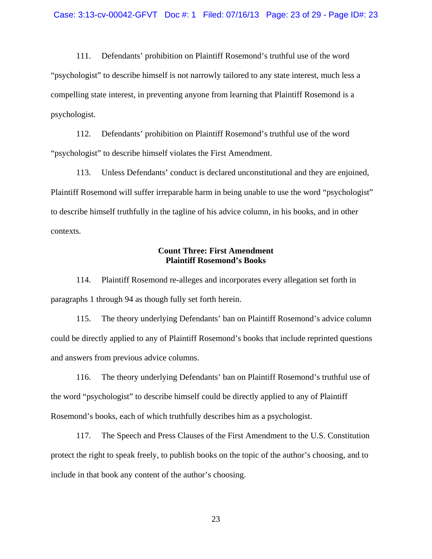111. Defendants' prohibition on Plaintiff Rosemond's truthful use of the word "psychologist" to describe himself is not narrowly tailored to any state interest, much less a compelling state interest, in preventing anyone from learning that Plaintiff Rosemond is a psychologist.

112. Defendants' prohibition on Plaintiff Rosemond's truthful use of the word "psychologist" to describe himself violates the First Amendment.

113. Unless Defendants' conduct is declared unconstitutional and they are enjoined, Plaintiff Rosemond will suffer irreparable harm in being unable to use the word "psychologist" to describe himself truthfully in the tagline of his advice column, in his books, and in other contexts.

#### **Count Three: First Amendment Plaintiff Rosemond's Books**

114. Plaintiff Rosemond re-alleges and incorporates every allegation set forth in paragraphs 1 through 94 as though fully set forth herein.

115. The theory underlying Defendants' ban on Plaintiff Rosemond's advice column could be directly applied to any of Plaintiff Rosemond's books that include reprinted questions and answers from previous advice columns.

116. The theory underlying Defendants' ban on Plaintiff Rosemond's truthful use of the word "psychologist" to describe himself could be directly applied to any of Plaintiff Rosemond's books, each of which truthfully describes him as a psychologist.

117. The Speech and Press Clauses of the First Amendment to the U.S. Constitution protect the right to speak freely, to publish books on the topic of the author's choosing, and to include in that book any content of the author's choosing.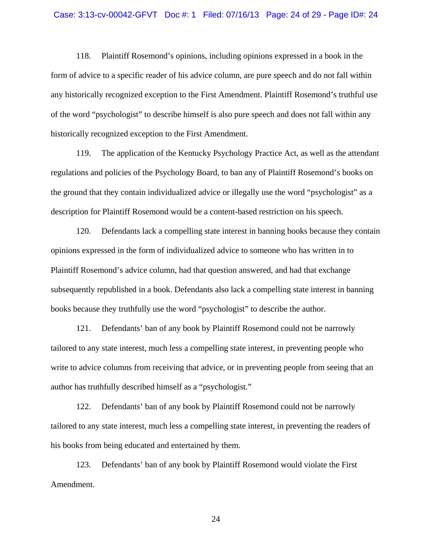#### Case: 3:13-cv-00042-GFVT Doc #: 1 Filed: 07/16/13 Page: 24 of 29 - Page ID#: 24

118. Plaintiff Rosemond's opinions, including opinions expressed in a book in the form of advice to a specific reader of his advice column, are pure speech and do not fall within any historically recognized exception to the First Amendment. Plaintiff Rosemond's truthful use of the word "psychologist" to describe himself is also pure speech and does not fall within any historically recognized exception to the First Amendment.

119. The application of the Kentucky Psychology Practice Act, as well as the attendant regulations and policies of the Psychology Board, to ban any of Plaintiff Rosemond's books on the ground that they contain individualized advice or illegally use the word "psychologist" as a description for Plaintiff Rosemond would be a content-based restriction on his speech.

120. Defendants lack a compelling state interest in banning books because they contain opinions expressed in the form of individualized advice to someone who has written in to Plaintiff Rosemond's advice column, had that question answered, and had that exchange subsequently republished in a book. Defendants also lack a compelling state interest in banning books because they truthfully use the word "psychologist" to describe the author.

121. Defendants' ban of any book by Plaintiff Rosemond could not be narrowly tailored to any state interest, much less a compelling state interest, in preventing people who write to advice columns from receiving that advice, or in preventing people from seeing that an author has truthfully described himself as a "psychologist."

122. Defendants' ban of any book by Plaintiff Rosemond could not be narrowly tailored to any state interest, much less a compelling state interest, in preventing the readers of his books from being educated and entertained by them.

123. Defendants' ban of any book by Plaintiff Rosemond would violate the First Amendment.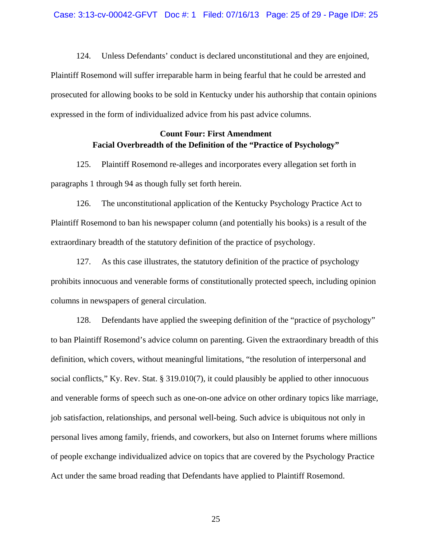124. Unless Defendants' conduct is declared unconstitutional and they are enjoined, Plaintiff Rosemond will suffer irreparable harm in being fearful that he could be arrested and prosecuted for allowing books to be sold in Kentucky under his authorship that contain opinions expressed in the form of individualized advice from his past advice columns.

#### **Count Four: First Amendment Facial Overbreadth of the Definition of the "Practice of Psychology"**

125. Plaintiff Rosemond re-alleges and incorporates every allegation set forth in paragraphs 1 through 94 as though fully set forth herein.

126. The unconstitutional application of the Kentucky Psychology Practice Act to Plaintiff Rosemond to ban his newspaper column (and potentially his books) is a result of the extraordinary breadth of the statutory definition of the practice of psychology.

127. As this case illustrates, the statutory definition of the practice of psychology prohibits innocuous and venerable forms of constitutionally protected speech, including opinion columns in newspapers of general circulation.

128. Defendants have applied the sweeping definition of the "practice of psychology" to ban Plaintiff Rosemond's advice column on parenting. Given the extraordinary breadth of this definition, which covers, without meaningful limitations, "the resolution of interpersonal and social conflicts," Ky. Rev. Stat. § 319.010(7), it could plausibly be applied to other innocuous and venerable forms of speech such as one-on-one advice on other ordinary topics like marriage, job satisfaction, relationships, and personal well-being. Such advice is ubiquitous not only in personal lives among family, friends, and coworkers, but also on Internet forums where millions of people exchange individualized advice on topics that are covered by the Psychology Practice Act under the same broad reading that Defendants have applied to Plaintiff Rosemond.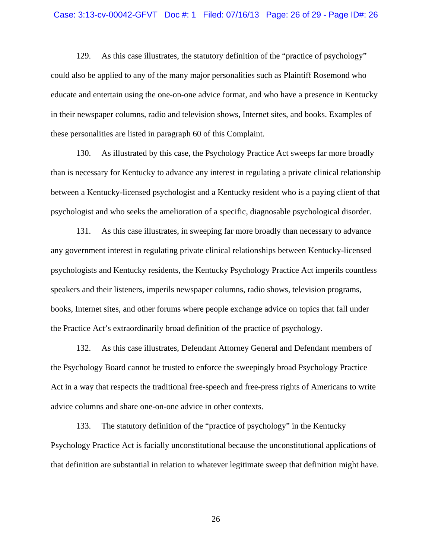#### Case: 3:13-cv-00042-GFVT Doc #: 1 Filed: 07/16/13 Page: 26 of 29 - Page ID#: 26

129. As this case illustrates, the statutory definition of the "practice of psychology" could also be applied to any of the many major personalities such as Plaintiff Rosemond who educate and entertain using the one-on-one advice format, and who have a presence in Kentucky in their newspaper columns, radio and television shows, Internet sites, and books. Examples of these personalities are listed in paragraph 60 of this Complaint.

130. As illustrated by this case, the Psychology Practice Act sweeps far more broadly than is necessary for Kentucky to advance any interest in regulating a private clinical relationship between a Kentucky-licensed psychologist and a Kentucky resident who is a paying client of that psychologist and who seeks the amelioration of a specific, diagnosable psychological disorder.

131. As this case illustrates, in sweeping far more broadly than necessary to advance any government interest in regulating private clinical relationships between Kentucky-licensed psychologists and Kentucky residents, the Kentucky Psychology Practice Act imperils countless speakers and their listeners, imperils newspaper columns, radio shows, television programs, books, Internet sites, and other forums where people exchange advice on topics that fall under the Practice Act's extraordinarily broad definition of the practice of psychology.

132. As this case illustrates, Defendant Attorney General and Defendant members of the Psychology Board cannot be trusted to enforce the sweepingly broad Psychology Practice Act in a way that respects the traditional free-speech and free-press rights of Americans to write advice columns and share one-on-one advice in other contexts.

133. The statutory definition of the "practice of psychology" in the Kentucky Psychology Practice Act is facially unconstitutional because the unconstitutional applications of that definition are substantial in relation to whatever legitimate sweep that definition might have.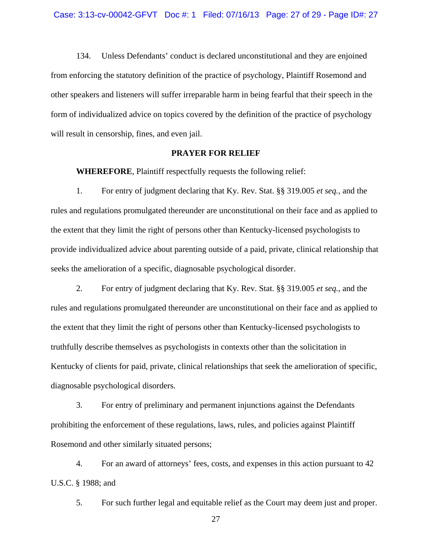134. Unless Defendants' conduct is declared unconstitutional and they are enjoined from enforcing the statutory definition of the practice of psychology, Plaintiff Rosemond and other speakers and listeners will suffer irreparable harm in being fearful that their speech in the form of individualized advice on topics covered by the definition of the practice of psychology will result in censorship, fines, and even jail.

#### **PRAYER FOR RELIEF**

**WHEREFORE**, Plaintiff respectfully requests the following relief:

1. For entry of judgment declaring that Ky. Rev. Stat. §§ 319.005 *et seq.*, and the rules and regulations promulgated thereunder are unconstitutional on their face and as applied to the extent that they limit the right of persons other than Kentucky-licensed psychologists to provide individualized advice about parenting outside of a paid, private, clinical relationship that seeks the amelioration of a specific, diagnosable psychological disorder.

2. For entry of judgment declaring that Ky. Rev. Stat. §§ 319.005 *et seq.*, and the rules and regulations promulgated thereunder are unconstitutional on their face and as applied to the extent that they limit the right of persons other than Kentucky-licensed psychologists to truthfully describe themselves as psychologists in contexts other than the solicitation in Kentucky of clients for paid, private, clinical relationships that seek the amelioration of specific, diagnosable psychological disorders.

3. For entry of preliminary and permanent injunctions against the Defendants prohibiting the enforcement of these regulations, laws, rules, and policies against Plaintiff Rosemond and other similarly situated persons;

4. For an award of attorneys' fees, costs, and expenses in this action pursuant to 42 U.S.C. § 1988; and

5. For such further legal and equitable relief as the Court may deem just and proper.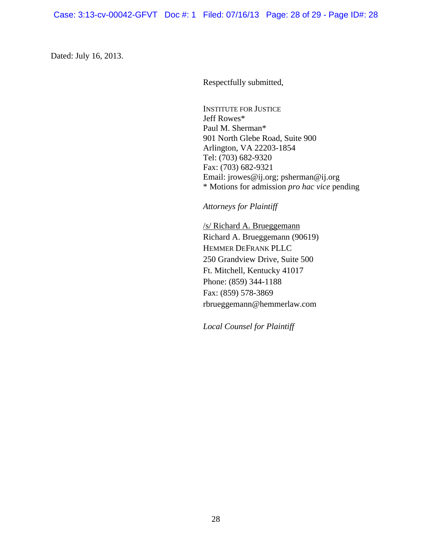Case: 3:13-cv-00042-GFVT Doc #: 1 Filed: 07/16/13 Page: 28 of 29 - Page ID#: 28

Dated: July 16, 2013.

Respectfully submitted,

INSTITUTE FOR JUSTICE Jeff Rowes\* Paul M. Sherman\* 901 North Glebe Road, Suite 900 Arlington, VA 22203-1854 Tel: (703) 682-9320 Fax: (703) 682-9321 Email: jrowes@ij.org; psherman@ij.org \* Motions for admission *pro hac vice* pending

*Attorneys for Plaintiff*

/s/ Richard A. Brueggemann Richard A. Brueggemann (90619) HEMMER DEFRANK PLLC 250 Grandview Drive, Suite 500 Ft. Mitchell, Kentucky 41017 Phone: (859) 344-1188 Fax: (859) 578-3869 rbrueggemann@hemmerlaw.com

*Local Counsel for Plaintiff*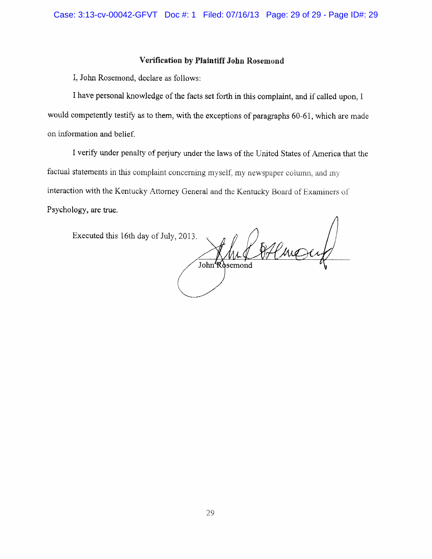#### Verification by Plaintiff John Rosemond

I, John Rosemond, declare as follows:

I have personal knowledge of the facts set forth in this complaint, and if called upon, I would competently testify as to them, with the exceptions of paragraphs 60-61, which are made on information and belief.

I verify under penalty of perjury under the laws of the United States of America that the factual statements in this complaint concerning myself, my newspaper column, and my interaction with the Kentucky Attorney General and the Kentucky Board of Examiners of Psychology, are true.

Executed this 16th day of July, 2013.

Efline John Rosemond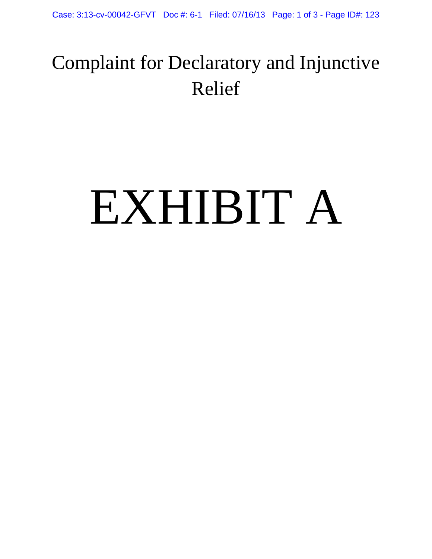## Complaint for Declaratory and Injunctive Relief

## EXHIBIT A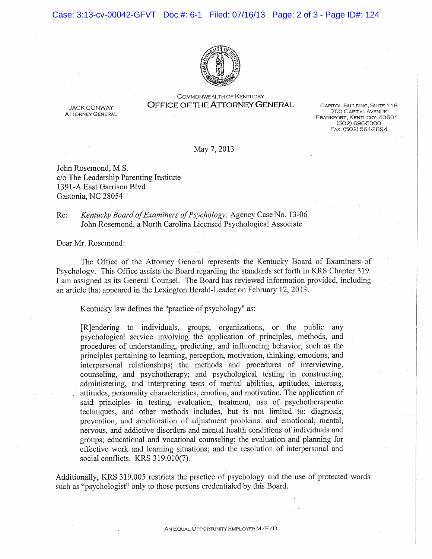#### Case: 3:13-cv-00042-GFVT Doc #: 6-1 Filed: 07/16/13 Page: 2 of 3 - Page ID#: 124



COMMONWEALTH OF KENTUCKY **OFFICE OF THE ATTORNEY GENERAL** 

**JACK CONWAY ATTORNEY GENERAL** 

CAPITOL BUILDING, SUITE 118 **700 CAPITAL AVENUE** FRANKFORT, KENTUCKY 40601 (502) 696-5300 FAX: (502) 564-2894

May 7, 2013

John Rosemond, M.S. c/o The Leadership Parenting Institute 1391-A East Garrison Blvd Gastonia, NC 28054

Re: Kentucky Board of Examiners of Psychology; Agency Case No. 13-06 John Rosemond, a North Carolina Licensed Psychological Associate

Dear Mr. Rosemond:

The Office of the Attorney General represents the Kentucky Board of Examiners of Psychology. This Office assists the Board regarding the standards set forth in KRS Chapter 319. I am assigned as its General Counsel. The Board has reviewed information provided, including an article that appeared in the Lexington Herald-Leader on February 12, 2013.

Kentucky law defines the "practice of psychology" as:

[R] endering to individuals, groups, organizations, or the public any psychological service involving the application of principles, methods, and procedures of understanding, predicting, and influencing behavior, such as the principles pertaining to learning, perception, motivation, thinking, emotions, and interpersonal relationships; the methods and procedures of interviewing, counseling, and psychotherapy; and psychological testing in constructing, administering, and interpreting tests of mental abilities, aptitudes, interests, attitudes, personality characteristics, emotion, and motivation. The application of said principles in testing, evaluation, treatment, use of psychotherapeutic techniques, and other methods includes, but is not limited to: diagnosis, prevention, and amelioration of adjustment problems, and emotional, mental, nervous, and addictive disorders and mental health conditions of individuals and groups; educational and vocational counseling; the evaluation and planning for effective work and learning situations; and the resolution of interpersonal and social conflicts. KRS 319.010(7).

Additionally, KRS 319,005 restricts the practice of psychology and the use of protected words such as "psychologist" only to those persons credentialed by this Board.

AN EQUAL OPPORTUNITY EMPLOYER M/F/D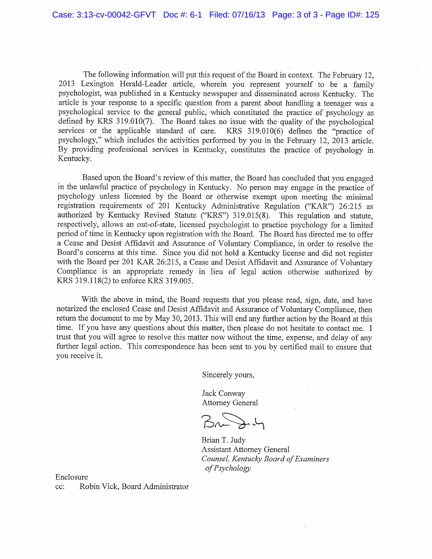The following information will put this request of the Board in context. The February 12, 2013 Lexington Herald-Leader article, wherein you represent yourself to be a family psychologist, was published in a Kentucky newspaper and disseminated across Kentucky. The article is your response to a specific question from a parent about handling a teenager was a psychological service to the general public, which constituted the practice of psychology as defined by KRS 319.010(7). The Board takes no issue with the quality of the psychological services or the applicable standard of care. KRS 319.010(6) defines the "practice of psychology," which includes the activities performed by you in the February 12, 2013 article. By providing professional services in Kentucky, constitutes the practice of psychology in Kentucky.

Based upon the Board's review of this matter, the Board has concluded that you engaged in the unlawful practice of psychology in Kentucky. No person may engage in the practice of psychology unless licensed by the Board or otherwise exempt upon meeting the minimal registration requirements of 201 Kentucky Administrative Regulation ("KAR") 26:215 as authorized by Kentucky Revised Statute ("KRS") 319.015(8). This regulation and statute, respectively, allows an out-of-state, licensed psychologist to practice psychology for a limited period of time in Kentucky upon registration with the Board. The Board has directed me to offer a Cease and Desist Affidavit and Assurance of Voluntary Compliance, in order to resolve the Board's concerns at this time. Since you did not hold a Kentucky license and did not register with the Board per 201 KAR 26:215, a Cease and Desist Affidavit and Assurance of Voluntary Compliance is an appropriate remedy in lieu of legal action otherwise authorized by KRS 319.118(2) to enforce KRS 319.005.

With the above in mind, the Board requests that you please read, sign, date, and have notarized the enclosed Cease and Desist Affidavit and Assurance of Voluntary Compliance, then return the document to me by May 30, 2013. This will end any further action by the Board at this time. If you have any questions about this matter, then please do not hesitate to contact me. I trust that you will agree to resolve this matter now without the time, expense, and delay of any further legal action. This correspondence has been sent to you by certified mail to ensure that you receive it.

Sincerely yours.

Jack Conway **Attorney General** 

Brian T. Judy **Assistant Attorney General** Counsel, Kentucky Board of Examiners of Psychology

Enclosure

Robin Vick, Board Administrator cc: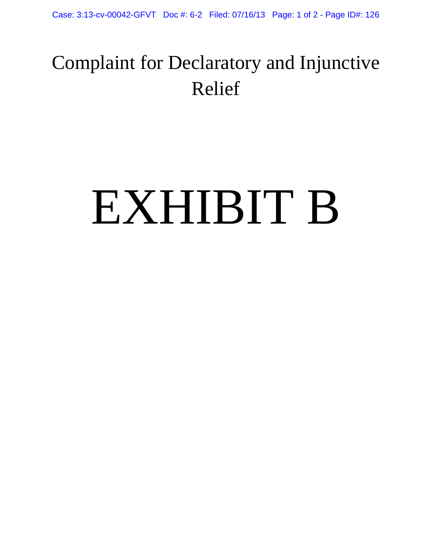## Complaint for Declaratory and Injunctive Relief

# EXHIBIT B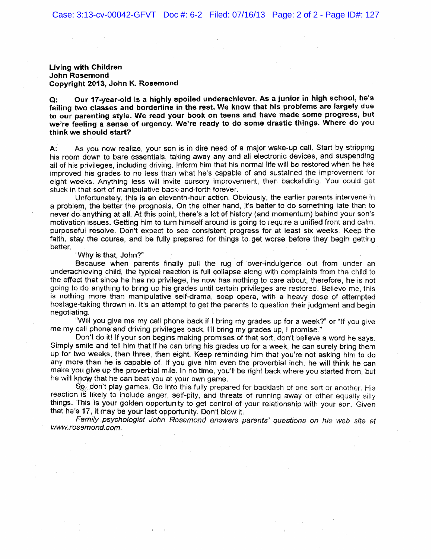Living with Children **John Rosemond** Copyright 2013, John K. Rosemond

Our 17-year-old is a highly spoiled underachiever. As a junior in high school, he's  $\mathbf{Q}$ : failing two classes and borderline in the rest. We know that his problems are largely due to our parenting style. We read your book on teens and have made some progress, but we're feeling a sense of urgency. We're ready to do some drastic things. Where do you think we should start?

As you now realize, your son is in dire need of a major wake-up call. Start by stripping А: his room down to bare essentials, taking away any and all electronic devices, and suspending all of his privileges, including driving. Inform him that his normal life will be restored when he has improved his grades to no less than what he's capable of and sustained the improvement for eight weeks. Anything less will invite cursory improvement, then backsliding. You could get stuck in that sort of manipulative back-and-forth forever.

Unfortunately, this is an eleventh-hour action. Obviously, the earlier parents intervene in a problem, the better the prognosis. On the other hand, it's better to do something late than to never do anything at all. At this point, there's a lot of history (and momentum) behind your son's motivation issues. Getting him to turn himself around is going to require a unified front and calm, purposeful resolve. Don't expect to see consistent progress for at least six weeks. Keep the faith, stay the course, and be fully prepared for things to get worse before they begin getting better.

"Why is that, John?"

Because when parents finally pull the rug of over-indulgence out from under an underachieving child, the typical reaction is full collapse along with complaints from the child to the effect that since he has no privilege, he now has nothing to care about; therefore, he is not going to do anything to bring up his grades until certain privileges are restored. Believe me, this is nothing more than manipulative self-drama, soap opera, with a heavy dose of attempted hostage-taking thrown in. It's an attempt to get the parents to question their judgment and begin negotiating.

"Will you give me my cell phone back if I bring my grades up for a week?" or "If you give me my cell phone and driving privileges back, I'll bring my grades up, I promise."

Don't do it! If your son begins making promises of that sort, don't believe a word he says. Simply smile and tell him that if he can bring his grades up for a week, he can surely bring them up for two weeks, then three, then eight. Keep reminding him that you're not asking him to do any more than he is capable of. If you give him even the proverbial inch, he will think he can make you give up the proverbial mile. In no time, you'll be right back where you started from, but he will know that he can beat you at your own game.

So, don't play games. Go into this fully prepared for backlash of one sort or another. His reaction is likely to include anger, self-pity, and threats of running away or other equally silly things. This is your golden opportunity to get control of your relationship with your son. Given that he's 17, it may be your last opportunity. Don't blow it.

Family psychologist John Rosemond answers parents' questions on his web site at www.rosemond.com.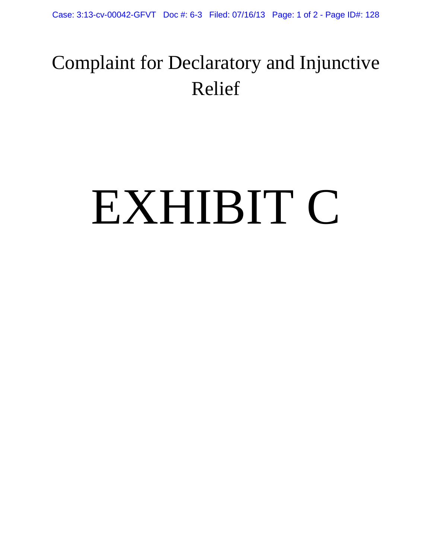## Complaint for Declaratory and Injunctive Relief

# EXHIBIT C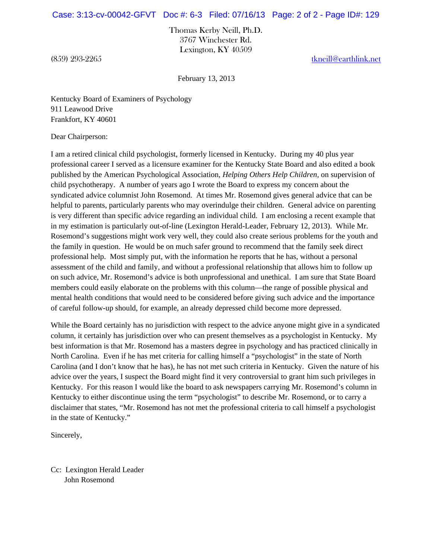#### Case: 3:13-cv-00042-GFVT Doc #: 6-3 Filed: 07/16/13 Page: 2 of 2 - Page ID#: 129

Thomas Kerby Neill, Ph.D. 3767 Winchester Rd. Lexington, KY 40509

(859) 293-2265 tkneill@earthlink.net

February 13, 2013

Kentucky Board of Examiners of Psychology 911 Leawood Drive Frankfort, KY 40601

Dear Chairperson:

I am a retired clinical child psychologist, formerly licensed in Kentucky. During my 40 plus year professional career I served as a licensure examiner for the Kentucky State Board and also edited a book published by the American Psychological Association, *Helping Others Help Children,* on supervision of child psychotherapy. A number of years ago I wrote the Board to express my concern about the syndicated advice columnist John Rosemond. At times Mr. Rosemond gives general advice that can be helpful to parents, particularly parents who may overindulge their children. General advice on parenting is very different than specific advice regarding an individual child. I am enclosing a recent example that in my estimation is particularly out-of-line (Lexington Herald-Leader, February 12, 2013). While Mr. Rosemond's suggestions might work very well, they could also create serious problems for the youth and the family in question. He would be on much safer ground to recommend that the family seek direct professional help. Most simply put, with the information he reports that he has, without a personal assessment of the child and family, and without a professional relationship that allows him to follow up on such advice, Mr. Rosemond's advice is both unprofessional and unethical. I am sure that State Board members could easily elaborate on the problems with this column—the range of possible physical and mental health conditions that would need to be considered before giving such advice and the importance of careful follow-up should, for example, an already depressed child become more depressed.

While the Board certainly has no jurisdiction with respect to the advice anyone might give in a syndicated column, it certainly has jurisdiction over who can present themselves as a psychologist in Kentucky. My best information is that Mr. Rosemond has a masters degree in psychology and has practiced clinically in North Carolina. Even if he has met criteria for calling himself a "psychologist" in the state of North Carolina (and I don't know that he has), he has not met such criteria in Kentucky. Given the nature of his advice over the years, I suspect the Board might find it very controversial to grant him such privileges in Kentucky. For this reason I would like the board to ask newspapers carrying Mr. Rosemond's column in Kentucky to either discontinue using the term "psychologist" to describe Mr. Rosemond, or to carry a disclaimer that states, "Mr. Rosemond has not met the professional criteria to call himself a psychologist in the state of Kentucky."

Sincerely,

Cc: Lexington Herald Leader John Rosemond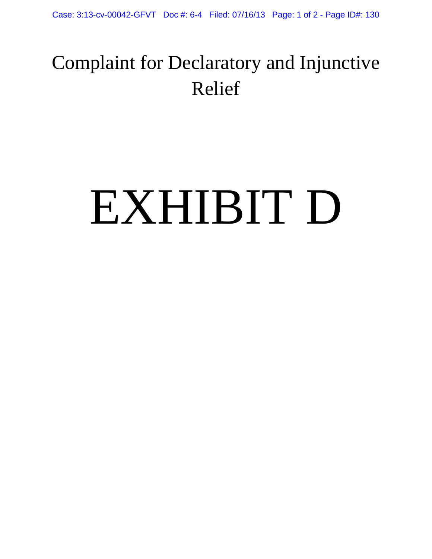## Complaint for Declaratory and Injunctive Relief

## EXHIBIT D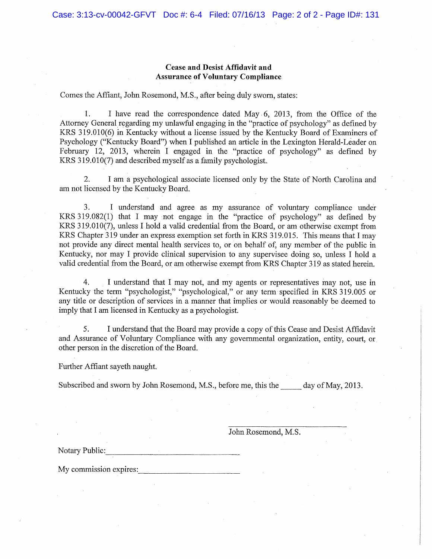#### **Cease and Desist Affidavit and Assurance of Voluntary Compliance**

Comes the Affiant, John Rosemond, M.S., after being duly sworn, states:

1. I have read the correspondence dated May 6, 2013, from the Office of the Attorney General regarding my unlawful engaging in the "practice of psychology" as defined by KRS 319.010(6) in Kentucky without a license issued by the Kentucky Board of Examiners of Psychology ("Kentucky Board") when I published an article in the Lexington Herald-Leader on February 12, 2013, wherein I engaged in the "practice of psychology" as defined by KRS 319.010(7) and described myself as a family psychologist.

 $2.$ I am a psychological associate licensed only by the State of North Carolina and am not licensed by the Kentucky Board.

I understand and agree as my assurance of voluntary compliance under 3. KRS 319.082(1) that I may not engage in the "practice of psychology" as defined by KRS 319.010(7), unless I hold a valid credential from the Board, or am otherwise exempt from KRS Chapter 319 under an express exemption set forth in KRS 319.015. This means that I may not provide any direct mental health services to, or on behalf of, any member of the public in Kentucky, nor may I provide clinical supervision to any supervisee doing so, unless I hold a valid credential from the Board, or am otherwise exempt from KRS Chapter 319 as stated herein.

I understand that I may not, and my agents or representatives may not, use in 4. Kentucky the term "psychologist," "psychological," or any term specified in KRS 319.005 or any title or description of services in a manner that implies or would reasonably be deemed to imply that I am licensed in Kentucky as a psychologist.

I understand that the Board may provide a copy of this Cease and Desist Affidavit 5. and Assurance of Voluntary Compliance with any governmental organization, entity, court, or other person in the discretion of the Board.

Further Affiant sayeth naught.

Subscribed and sworn by John Rosemond, M.S., before me, this the day of May, 2013.

John Rosemond, M.S.

Notary Public:

My commission expires: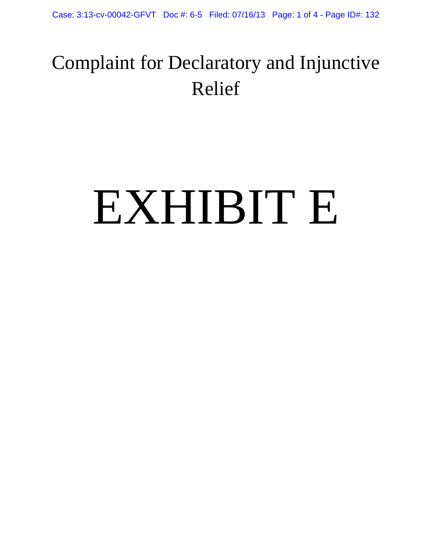## Complaint for Declaratory and Injunctive Relief

## EXHIBIT E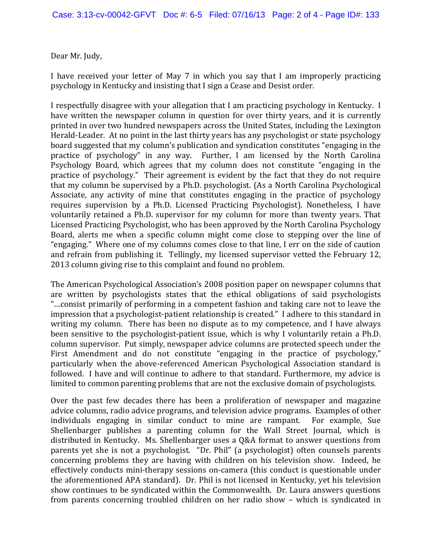Dear Mr. Judy,

I have received your letter of May 7 in which you say that I am improperly practicing psychology in Kentucky and insisting that I sign a Cease and Desist order.

I respectfully disagree with your allegation that I am practicing psychology in Kentucky. I have written the newspaper column in question for over thirty years, and it is currently printed in over two hundred newspapers across the United States, including the Lexington Herald-Leader. At no point in the last thirty years has any psychologist or state psychology board suggested that my column's publication and syndication constitutes "engaging in the practice of psychology" in any way. Further, I am licensed by the North Carolina Psychology Board, which agrees that my column does not constitute "engaging in the practice of psychology." Their agreement is evident by the fact that they do not require that my column be supervised by a Ph.D. psychologist. (As a North Carolina Psychological Associate, any activity of mine that constitutes engaging in the practice of psychology requires supervision by a Ph.D. Licensed Practicing Psychologist). Nonetheless, I have voluntarily retained a Ph.D. supervisor for my column for more than twenty years. That Licensed Practicing Psychologist, who has been approved by the North Carolina Psychology Board, alerts me when a specific column might come close to stepping over the line of "engaging." Where one of my columns comes close to that line, I err on the side of caution and refrain from publishing it. Tellingly, my licensed supervisor vetted the February 12, 2013 column giving rise to this complaint and found no problem.

The American Psychological Association's 2008 position paper on newspaper columns that are written by psychologists states that the ethical obligations of said psychologists "...consist primarily of performing in a competent fashion and taking care not to leave the impression that a psychologist-patient relationship is created." I adhere to this standard in writing my column. There has been no dispute as to my competence, and I have always been sensitive to the psychologist-patient issue, which is why I voluntarily retain a Ph.D. column supervisor. Put simply, newspaper advice columns are protected speech under the First Amendment and do not constitute "engaging in the practice of psychology," particularly when the above-referenced American Psychological Association standard is followed. I have and will continue to adhere to that standard. Furthermore, my advice is limited to common parenting problems that are not the exclusive domain of psychologists.

Over the past few decades there has been a proliferation of newspaper and magazine advice columns, radio advice programs, and television advice programs. Examples of other individuals engaging in similar conduct to mine are rampant. For example, Sue Shellenbarger publishes a parenting column for the Wall Street Journal, which is distributed in Kentucky. Ms. Shellenbarger uses a Q&A format to answer questions from parents yet she is not a psychologist. "Dr. Phil" (a psychologist) often counsels parents concerning problems they are having with children on his television show. Indeed, he effectively conducts mini-therapy sessions on-camera (this conduct is questionable under the aforementioned APA standard). Dr. Phil is not licensed in Kentucky, yet his television show continues to be syndicated within the Commonwealth. Dr. Laura answers questions from parents concerning troubled children on her radio show – which is syndicated in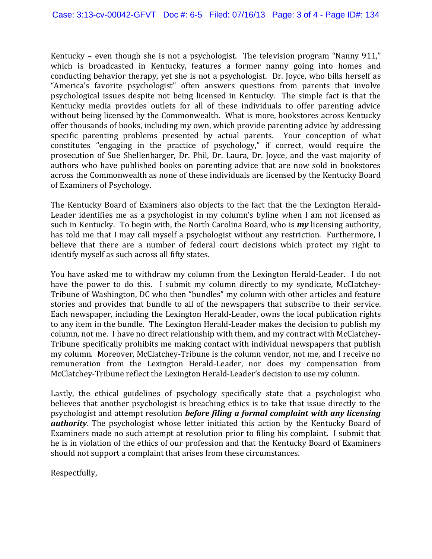Kentucky – even though she is not a psychologist. The television program "Nanny 911," which is broadcasted in Kentucky, features a former nanny going into homes and conducting behavior therapy, yet she is not a psychologist. Dr. Joyce, who bills herself as "America's favorite psychologist" often answers questions from parents that involve psychological issues despite not being licensed in Kentucky. The simple fact is that the Kentucky media provides outlets for all of these individuals to offer parenting advice without being licensed by the Commonwealth. What is more, bookstores across Kentucky offer thousands of books, including my own, which provide parenting advice by addressing specific parenting problems presented by actual parents. Your conception of what constitutes "engaging in the practice of psychology," if correct, would require the prosecution of Sue Shellenbarger, Dr. Phil, Dr. Laura, Dr. Joyce, and the vast majority of authors who have published books on parenting advice that are now sold in bookstores across the Commonwealth as none of these individuals are licensed by the Kentucky Board of Examiners of Psychology.

The Kentucky Board of Examiners also objects to the fact that the the Lexington Herald-Leader identifies me as a psychologist in my column's byline when I am not licensed as such in Kentucky. To begin with, the North Carolina Board, who is **my** licensing authority, has told me that I may call myself a psychologist without any restriction. Furthermore, I believe that there are a number of federal court decisions which protect my right to identify myself as such across all fifty states.

You have asked me to withdraw my column from the Lexington Herald-Leader. I do not have the power to do this. I submit my column directly to my syndicate, McClatchey-Tribune of Washington, DC who then "bundles" my column with other articles and feature stories and provides that bundle to all of the newspapers that subscribe to their service. Each newspaper, including the Lexington Herald-Leader, owns the local publication rights to any item in the bundle. The Lexington Herald-Leader makes the decision to publish my column, not me. I have no direct relationship with them, and my contract with McClatchey-Tribune specifically prohibits me making contact with individual newspapers that publish my column. Moreover, McClatchey-Tribune is the column vendor, not me, and I receive no remuneration from the Lexington Herald-Leader, nor does my compensation from McClatchey-Tribune reflect the Lexington Herald-Leader's decision to use my column.

Lastly, the ethical guidelines of psychology specifically state that a psychologist who believes that another psychologist is breaching ethics is to take that issue directly to the psychologist and attempt resolution *before filing a formal complaint with any licensing authority*. The psychologist whose letter initiated this action by the Kentucky Board of Examiners made no such attempt at resolution prior to filing his complaint. I submit that he is in violation of the ethics of our profession and that the Kentucky Board of Examiners should not support a complaint that arises from these circumstances.

Respectfully,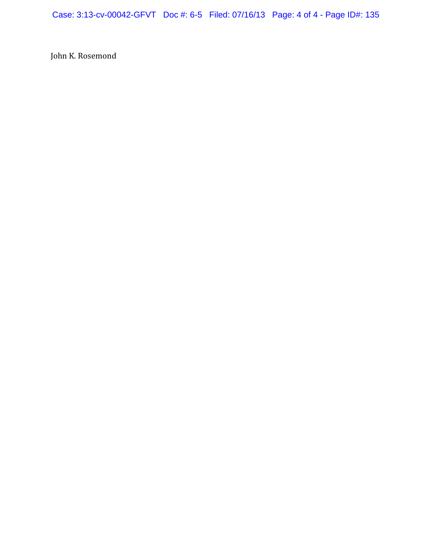Case: 3:13-cv-00042-GFVT Doc #: 6-5 Filed: 07/16/13 Page: 4 of 4 - Page ID#: 135

John K. Rosemond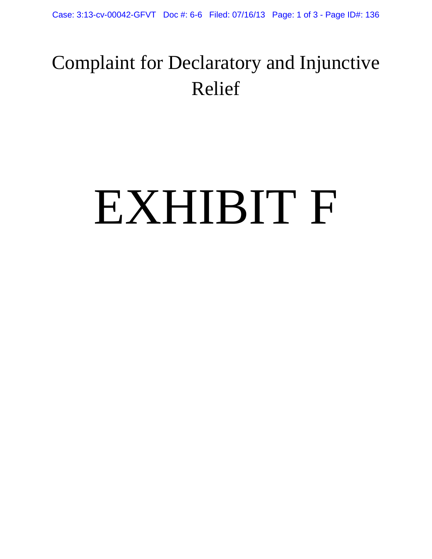## Complaint for Declaratory and Injunctive Relief

## EXHIBIT F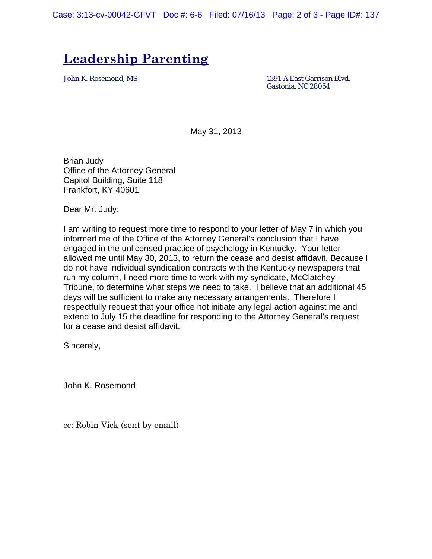Case: 3:13-cv-00042-GFVT Doc #: 6-6 Filed: 07/16/13 Page: 2 of 3 - Page ID#: 137

### **Leadership Parenting**

John K. Rosemond, MS 1391-A East Garrison Blvd. Gastonia, NC 28054

May 31, 2013

Brian Judy Office of the Attorney General Capitol Building, Suite 118 Frankfort, KY 40601

Dear Mr. Judy:

I am writing to request more time to respond to your letter of May 7 in which you informed me of the Office of the Attorney General's conclusion that I have engaged in the unlicensed practice of psychology in Kentucky. Your letter allowed me until May 30, 2013, to return the cease and desist affidavit. Because I do not have individual syndication contracts with the Kentucky newspapers that run my column, I need more time to work with my syndicate, McClatchey-Tribune, to determine what steps we need to take. I believe that an additional 45 days will be sufficient to make any necessary arrangements. Therefore I respectfully request that your office not initiate any legal action against me and extend to July 15 the deadline for responding to the Attorney General's request for a cease and desist affidavit.

Sincerely,

John K. Rosemond

cc: Robin Vick (sent by email)